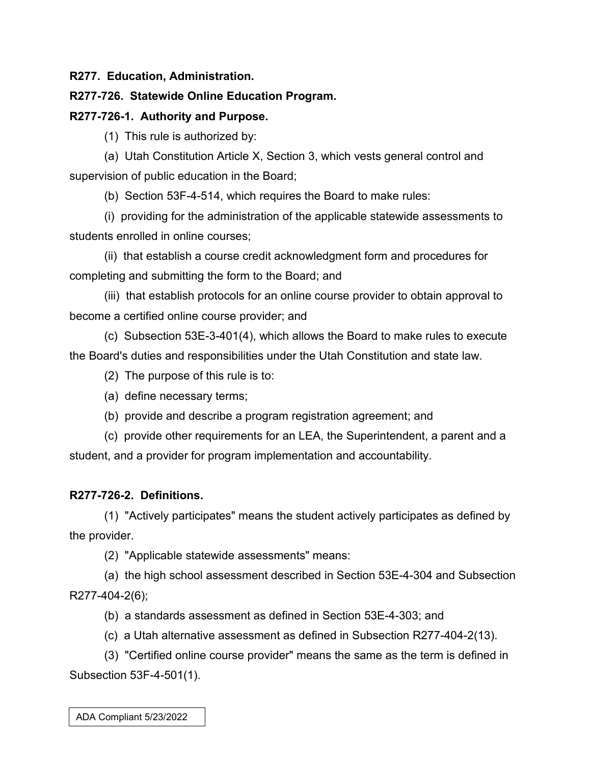**R277. Education, Administration.**

## **R277-726. Statewide Online Education Program.**

## **R277-726-1. Authority and Purpose.**

(1) This rule is authorized by:

(a) Utah Constitution Article X, Section 3, which vests general control and supervision of public education in the Board;

(b) Section 53F-4-514, which requires the Board to make rules:

(i) providing for the administration of the applicable statewide assessments to students enrolled in online courses;

(ii) that establish a course credit acknowledgment form and procedures for completing and submitting the form to the Board; and

(iii) that establish protocols for an online course provider to obtain approval to become a certified online course provider; and

(c) Subsection 53E-3-401(4), which allows the Board to make rules to execute the Board's duties and responsibilities under the Utah Constitution and state law.

(2) The purpose of this rule is to:

- (a) define necessary terms;
- (b) provide and describe a program registration agreement; and

(c) provide other requirements for an LEA, the Superintendent, a parent and a student, and a provider for program implementation and accountability.

## **R277-726-2. Definitions.**

(1) "Actively participates" means the student actively participates as defined by the provider.

(2) "Applicable statewide assessments" means:

(a) the high school assessment described in Section 53E-4-304 and Subsection R277-404-2(6);

(b) a standards assessment as defined in Section 53E-4-303; and

(c) a Utah alternative assessment as defined in Subsection R277-404-2(13).

(3) "Certified online course provider" means the same as the term is defined in Subsection 53F-4-501(1).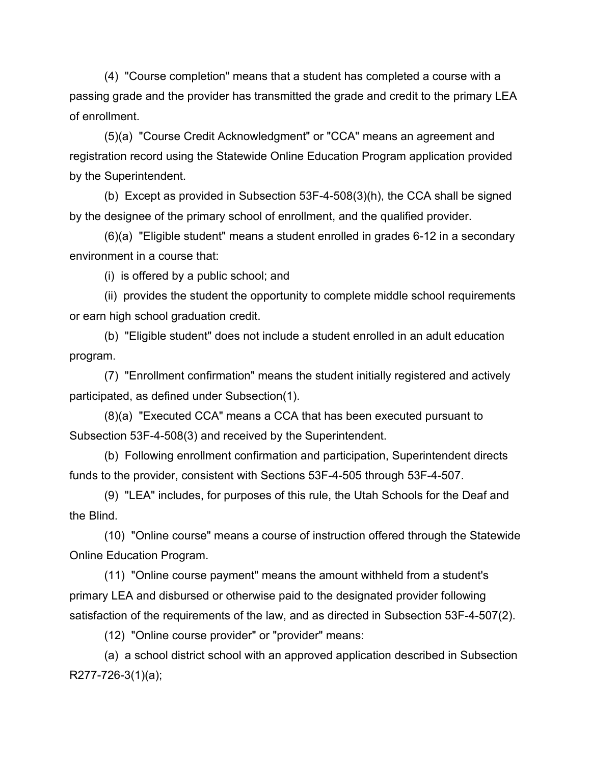(4) "Course completion" means that a student has completed a course with a passing grade and the provider has transmitted the grade and credit to the primary LEA of enrollment.

(5)(a) "Course Credit Acknowledgment" or "CCA" means an agreement and registration record using the Statewide Online Education Program application provided by the Superintendent.

(b) Except as provided in Subsection 53F-4-508(3)(h), the CCA shall be signed by the designee of the primary school of enrollment, and the qualified provider.

(6)(a) "Eligible student" means a student enrolled in grades 6-12 in a secondary environment in a course that:

(i) is offered by a public school; and

(ii) provides the student the opportunity to complete middle school requirements or earn high school graduation credit.

(b) "Eligible student" does not include a student enrolled in an adult education program.

(7) "Enrollment confirmation" means the student initially registered and actively participated, as defined under Subsection(1).

(8)(a) "Executed CCA" means a CCA that has been executed pursuant to Subsection 53F-4-508(3) and received by the Superintendent.

(b) Following enrollment confirmation and participation, Superintendent directs funds to the provider, consistent with Sections 53F-4-505 through 53F-4-507.

(9) "LEA" includes, for purposes of this rule, the Utah Schools for the Deaf and the Blind.

(10) "Online course" means a course of instruction offered through the Statewide Online Education Program.

(11) "Online course payment" means the amount withheld from a student's primary LEA and disbursed or otherwise paid to the designated provider following satisfaction of the requirements of the law, and as directed in Subsection 53F-4-507(2).

(12) "Online course provider" or "provider" means:

(a) a school district school with an approved application described in Subsection R277-726-3(1)(a);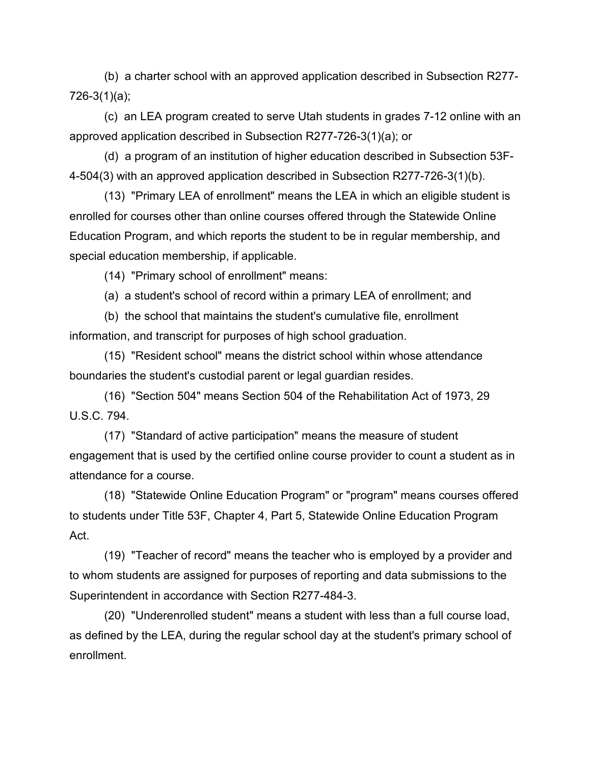(b) a charter school with an approved application described in Subsection R277- 726-3(1)(a);

(c) an LEA program created to serve Utah students in grades 7-12 online with an approved application described in Subsection R277-726-3(1)(a); or

(d) a program of an institution of higher education described in Subsection 53F-4-504(3) with an approved application described in Subsection R277-726-3(1)(b).

(13) "Primary LEA of enrollment" means the LEA in which an eligible student is enrolled for courses other than online courses offered through the Statewide Online Education Program, and which reports the student to be in regular membership, and special education membership, if applicable.

(14) "Primary school of enrollment" means:

(a) a student's school of record within a primary LEA of enrollment; and

(b) the school that maintains the student's cumulative file, enrollment information, and transcript for purposes of high school graduation.

(15) "Resident school" means the district school within whose attendance boundaries the student's custodial parent or legal guardian resides.

(16) "Section 504" means Section 504 of the Rehabilitation Act of 1973, 29 U.S.C. 794.

(17) "Standard of active participation" means the measure of student engagement that is used by the certified online course provider to count a student as in attendance for a course.

(18) "Statewide Online Education Program" or "program" means courses offered to students under Title 53F, Chapter 4, Part 5, Statewide Online Education Program Act.

(19) "Teacher of record" means the teacher who is employed by a provider and to whom students are assigned for purposes of reporting and data submissions to the Superintendent in accordance with Section R277-484-3.

(20) "Underenrolled student" means a student with less than a full course load, as defined by the LEA, during the regular school day at the student's primary school of enrollment.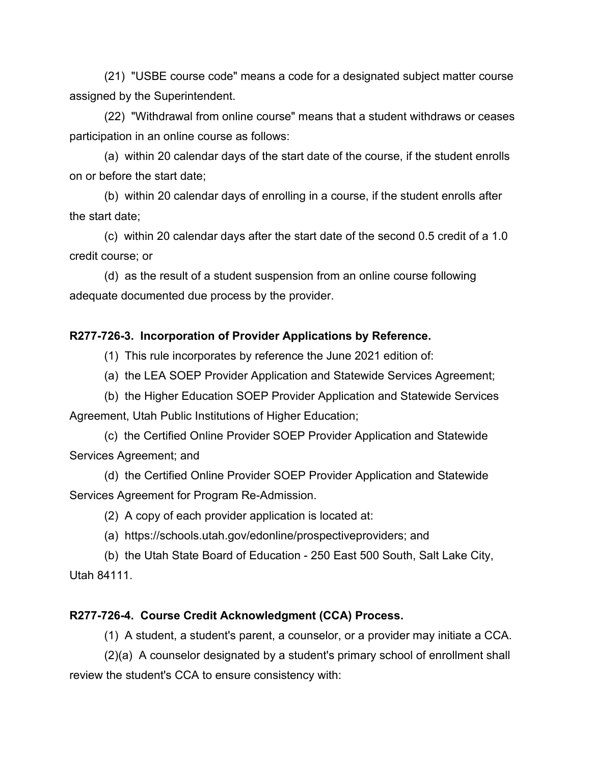(21) "USBE course code" means a code for a designated subject matter course assigned by the Superintendent.

(22) "Withdrawal from online course" means that a student withdraws or ceases participation in an online course as follows:

(a) within 20 calendar days of the start date of the course, if the student enrolls on or before the start date;

(b) within 20 calendar days of enrolling in a course, if the student enrolls after the start date;

(c) within 20 calendar days after the start date of the second 0.5 credit of a 1.0 credit course; or

(d) as the result of a student suspension from an online course following adequate documented due process by the provider.

## **R277-726-3. Incorporation of Provider Applications by Reference.**

(1) This rule incorporates by reference the June 2021 edition of:

(a) the LEA SOEP Provider Application and Statewide Services Agreement;

(b) the Higher Education SOEP Provider Application and Statewide Services Agreement, Utah Public Institutions of Higher Education;

(c) the Certified Online Provider SOEP Provider Application and Statewide Services Agreement; and

(d) the Certified Online Provider SOEP Provider Application and Statewide Services Agreement for Program Re-Admission.

(2) A copy of each provider application is located at:

(a) https://schools.utah.gov/edonline/prospectiveproviders; and

(b) the Utah State Board of Education - 250 East 500 South, Salt Lake City, Utah 84111.

#### **R277-726-4. Course Credit Acknowledgment (CCA) Process.**

(1) A student, a student's parent, a counselor, or a provider may initiate a CCA.

(2)(a) A counselor designated by a student's primary school of enrollment shall review the student's CCA to ensure consistency with: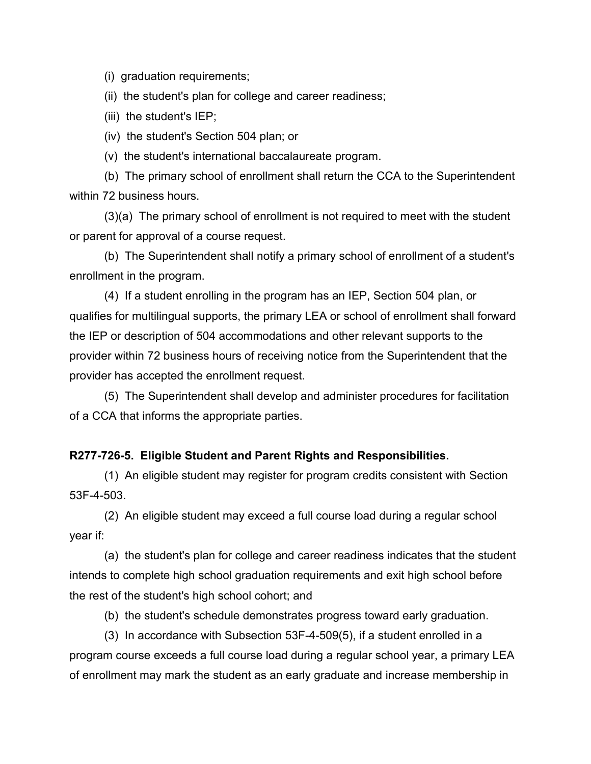(i) graduation requirements;

(ii) the student's plan for college and career readiness;

(iii) the student's IEP;

(iv) the student's Section 504 plan; or

(v) the student's international baccalaureate program.

(b) The primary school of enrollment shall return the CCA to the Superintendent within 72 business hours.

(3)(a) The primary school of enrollment is not required to meet with the student or parent for approval of a course request.

(b) The Superintendent shall notify a primary school of enrollment of a student's enrollment in the program.

(4) If a student enrolling in the program has an IEP, Section 504 plan, or qualifies for multilingual supports, the primary LEA or school of enrollment shall forward the IEP or description of 504 accommodations and other relevant supports to the provider within 72 business hours of receiving notice from the Superintendent that the provider has accepted the enrollment request.

(5) The Superintendent shall develop and administer procedures for facilitation of a CCA that informs the appropriate parties.

#### **R277-726-5. Eligible Student and Parent Rights and Responsibilities.**

(1) An eligible student may register for program credits consistent with Section 53F-4-503.

(2) An eligible student may exceed a full course load during a regular school year if:

(a) the student's plan for college and career readiness indicates that the student intends to complete high school graduation requirements and exit high school before the rest of the student's high school cohort; and

(b) the student's schedule demonstrates progress toward early graduation.

(3) In accordance with Subsection 53F-4-509(5), if a student enrolled in a program course exceeds a full course load during a regular school year, a primary LEA of enrollment may mark the student as an early graduate and increase membership in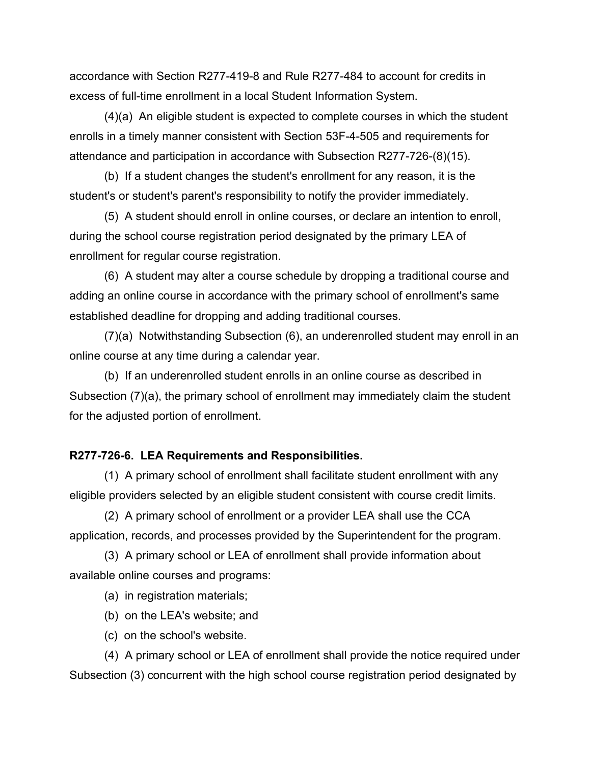accordance with Section R277-419-8 and Rule R277-484 to account for credits in excess of full-time enrollment in a local Student Information System.

(4)(a) An eligible student is expected to complete courses in which the student enrolls in a timely manner consistent with Section 53F-4-505 and requirements for attendance and participation in accordance with Subsection R277-726-(8)(15).

(b) If a student changes the student's enrollment for any reason, it is the student's or student's parent's responsibility to notify the provider immediately.

(5) A student should enroll in online courses, or declare an intention to enroll, during the school course registration period designated by the primary LEA of enrollment for regular course registration.

(6) A student may alter a course schedule by dropping a traditional course and adding an online course in accordance with the primary school of enrollment's same established deadline for dropping and adding traditional courses.

(7)(a) Notwithstanding Subsection (6), an underenrolled student may enroll in an online course at any time during a calendar year.

(b) If an underenrolled student enrolls in an online course as described in Subsection (7)(a), the primary school of enrollment may immediately claim the student for the adjusted portion of enrollment.

#### **R277-726-6. LEA Requirements and Responsibilities.**

(1) A primary school of enrollment shall facilitate student enrollment with any eligible providers selected by an eligible student consistent with course credit limits.

(2) A primary school of enrollment or a provider LEA shall use the CCA application, records, and processes provided by the Superintendent for the program.

(3) A primary school or LEA of enrollment shall provide information about available online courses and programs:

(a) in registration materials;

- (b) on the LEA's website; and
- (c) on the school's website.

(4) A primary school or LEA of enrollment shall provide the notice required under Subsection (3) concurrent with the high school course registration period designated by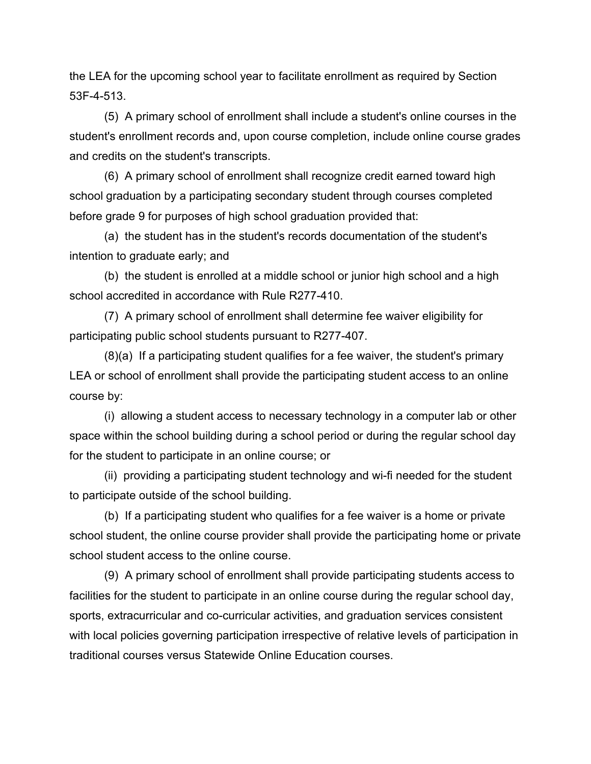the LEA for the upcoming school year to facilitate enrollment as required by Section 53F-4-513.

(5) A primary school of enrollment shall include a student's online courses in the student's enrollment records and, upon course completion, include online course grades and credits on the student's transcripts.

(6) A primary school of enrollment shall recognize credit earned toward high school graduation by a participating secondary student through courses completed before grade 9 for purposes of high school graduation provided that:

(a) the student has in the student's records documentation of the student's intention to graduate early; and

(b) the student is enrolled at a middle school or junior high school and a high school accredited in accordance with Rule R277-410.

(7) A primary school of enrollment shall determine fee waiver eligibility for participating public school students pursuant to R277-407.

(8)(a) If a participating student qualifies for a fee waiver, the student's primary LEA or school of enrollment shall provide the participating student access to an online course by:

(i) allowing a student access to necessary technology in a computer lab or other space within the school building during a school period or during the regular school day for the student to participate in an online course; or

(ii) providing a participating student technology and wi-fi needed for the student to participate outside of the school building.

(b) If a participating student who qualifies for a fee waiver is a home or private school student, the online course provider shall provide the participating home or private school student access to the online course.

(9) A primary school of enrollment shall provide participating students access to facilities for the student to participate in an online course during the regular school day, sports, extracurricular and co-curricular activities, and graduation services consistent with local policies governing participation irrespective of relative levels of participation in traditional courses versus Statewide Online Education courses.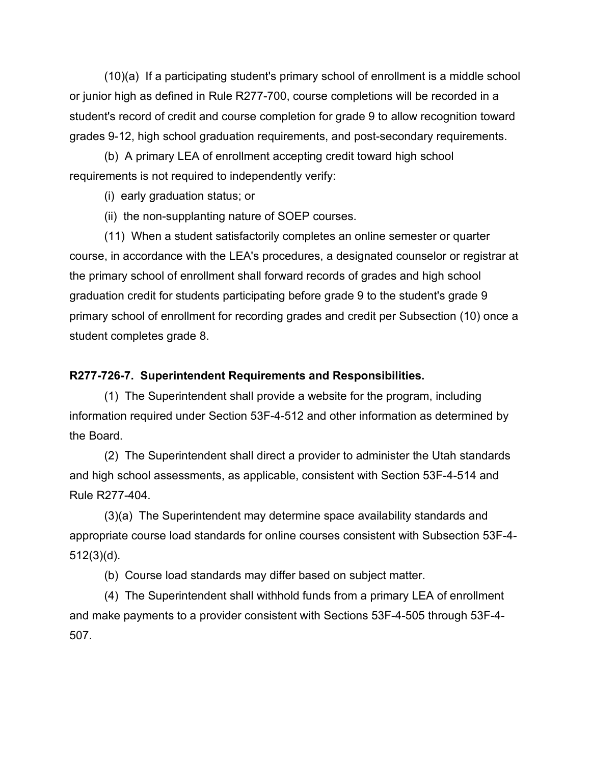(10)(a) If a participating student's primary school of enrollment is a middle school or junior high as defined in Rule R277-700, course completions will be recorded in a student's record of credit and course completion for grade 9 to allow recognition toward grades 9-12, high school graduation requirements, and post-secondary requirements.

(b) A primary LEA of enrollment accepting credit toward high school requirements is not required to independently verify:

(i) early graduation status; or

(ii) the non-supplanting nature of SOEP courses.

(11) When a student satisfactorily completes an online semester or quarter course, in accordance with the LEA's procedures, a designated counselor or registrar at the primary school of enrollment shall forward records of grades and high school graduation credit for students participating before grade 9 to the student's grade 9 primary school of enrollment for recording grades and credit per Subsection (10) once a student completes grade 8.

## **R277-726-7. Superintendent Requirements and Responsibilities.**

(1) The Superintendent shall provide a website for the program, including information required under Section 53F-4-512 and other information as determined by the Board.

(2) The Superintendent shall direct a provider to administer the Utah standards and high school assessments, as applicable, consistent with Section 53F-4-514 and Rule R277-404.

(3)(a) The Superintendent may determine space availability standards and appropriate course load standards for online courses consistent with Subsection 53F-4-  $512(3)(d)$ .

(b) Course load standards may differ based on subject matter.

(4) The Superintendent shall withhold funds from a primary LEA of enrollment and make payments to a provider consistent with Sections 53F-4-505 through 53F-4- 507.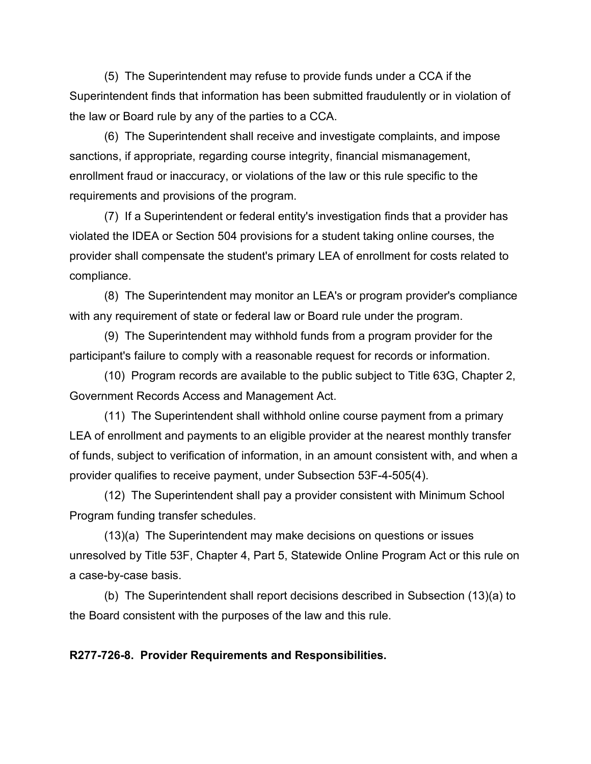(5) The Superintendent may refuse to provide funds under a CCA if the Superintendent finds that information has been submitted fraudulently or in violation of the law or Board rule by any of the parties to a CCA.

(6) The Superintendent shall receive and investigate complaints, and impose sanctions, if appropriate, regarding course integrity, financial mismanagement, enrollment fraud or inaccuracy, or violations of the law or this rule specific to the requirements and provisions of the program.

(7) If a Superintendent or federal entity's investigation finds that a provider has violated the IDEA or Section 504 provisions for a student taking online courses, the provider shall compensate the student's primary LEA of enrollment for costs related to compliance.

(8) The Superintendent may monitor an LEA's or program provider's compliance with any requirement of state or federal law or Board rule under the program.

(9) The Superintendent may withhold funds from a program provider for the participant's failure to comply with a reasonable request for records or information.

(10) Program records are available to the public subject to Title 63G, Chapter 2, Government Records Access and Management Act.

(11) The Superintendent shall withhold online course payment from a primary LEA of enrollment and payments to an eligible provider at the nearest monthly transfer of funds, subject to verification of information, in an amount consistent with, and when a provider qualifies to receive payment, under Subsection 53F-4-505(4).

(12) The Superintendent shall pay a provider consistent with Minimum School Program funding transfer schedules.

(13)(a) The Superintendent may make decisions on questions or issues unresolved by Title 53F, Chapter 4, Part 5, Statewide Online Program Act or this rule on a case-by-case basis.

(b) The Superintendent shall report decisions described in Subsection (13)(a) to the Board consistent with the purposes of the law and this rule.

#### **R277-726-8. Provider Requirements and Responsibilities.**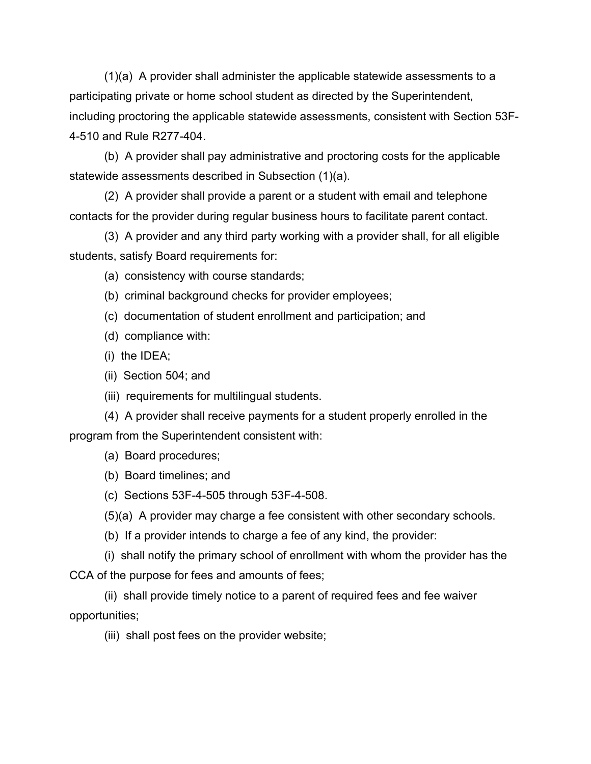(1)(a) A provider shall administer the applicable statewide assessments to a participating private or home school student as directed by the Superintendent, including proctoring the applicable statewide assessments, consistent with Section 53F-4-510 and Rule R277-404.

(b) A provider shall pay administrative and proctoring costs for the applicable statewide assessments described in Subsection (1)(a).

(2) A provider shall provide a parent or a student with email and telephone contacts for the provider during regular business hours to facilitate parent contact.

(3) A provider and any third party working with a provider shall, for all eligible students, satisfy Board requirements for:

(a) consistency with course standards;

(b) criminal background checks for provider employees;

- (c) documentation of student enrollment and participation; and
- (d) compliance with:
- (i) the IDEA;
- (ii) Section 504; and
- (iii) requirements for multilingual students.

(4) A provider shall receive payments for a student properly enrolled in the program from the Superintendent consistent with:

- (a) Board procedures;
- (b) Board timelines; and
- (c) Sections 53F-4-505 through 53F-4-508.

(5)(a) A provider may charge a fee consistent with other secondary schools.

(b) If a provider intends to charge a fee of any kind, the provider:

(i) shall notify the primary school of enrollment with whom the provider has the CCA of the purpose for fees and amounts of fees;

(ii) shall provide timely notice to a parent of required fees and fee waiver opportunities;

(iii) shall post fees on the provider website;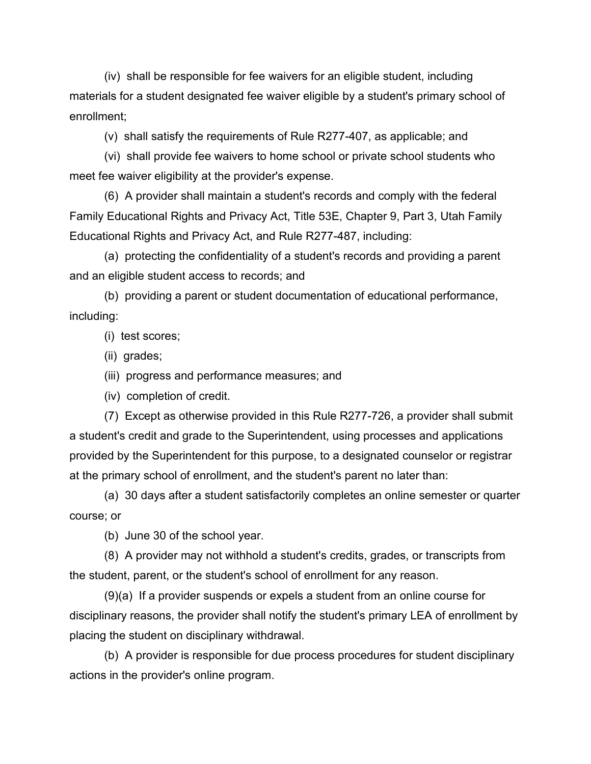(iv) shall be responsible for fee waivers for an eligible student, including materials for a student designated fee waiver eligible by a student's primary school of enrollment;

(v) shall satisfy the requirements of Rule R277-407, as applicable; and

(vi) shall provide fee waivers to home school or private school students who meet fee waiver eligibility at the provider's expense.

(6) A provider shall maintain a student's records and comply with the federal Family Educational Rights and Privacy Act, Title 53E, Chapter 9, Part 3, Utah Family Educational Rights and Privacy Act, and Rule R277-487, including:

(a) protecting the confidentiality of a student's records and providing a parent and an eligible student access to records; and

(b) providing a parent or student documentation of educational performance, including:

(i) test scores;

(ii) grades;

(iii) progress and performance measures; and

(iv) completion of credit.

(7) Except as otherwise provided in this Rule R277-726, a provider shall submit a student's credit and grade to the Superintendent, using processes and applications provided by the Superintendent for this purpose, to a designated counselor or registrar at the primary school of enrollment, and the student's parent no later than:

(a) 30 days after a student satisfactorily completes an online semester or quarter course; or

(b) June 30 of the school year.

(8) A provider may not withhold a student's credits, grades, or transcripts from the student, parent, or the student's school of enrollment for any reason.

(9)(a) If a provider suspends or expels a student from an online course for disciplinary reasons, the provider shall notify the student's primary LEA of enrollment by placing the student on disciplinary withdrawal.

(b) A provider is responsible for due process procedures for student disciplinary actions in the provider's online program.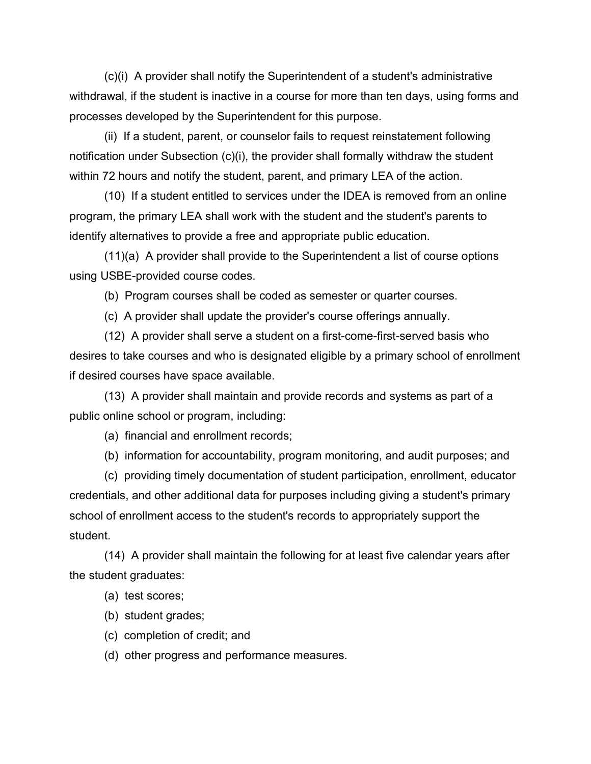(c)(i) A provider shall notify the Superintendent of a student's administrative withdrawal, if the student is inactive in a course for more than ten days, using forms and processes developed by the Superintendent for this purpose.

(ii) If a student, parent, or counselor fails to request reinstatement following notification under Subsection (c)(i), the provider shall formally withdraw the student within 72 hours and notify the student, parent, and primary LEA of the action.

(10) If a student entitled to services under the IDEA is removed from an online program, the primary LEA shall work with the student and the student's parents to identify alternatives to provide a free and appropriate public education.

(11)(a) A provider shall provide to the Superintendent a list of course options using USBE-provided course codes.

(b) Program courses shall be coded as semester or quarter courses.

(c) A provider shall update the provider's course offerings annually.

(12) A provider shall serve a student on a first-come-first-served basis who desires to take courses and who is designated eligible by a primary school of enrollment if desired courses have space available.

(13) A provider shall maintain and provide records and systems as part of a public online school or program, including:

(a) financial and enrollment records;

(b) information for accountability, program monitoring, and audit purposes; and

(c) providing timely documentation of student participation, enrollment, educator credentials, and other additional data for purposes including giving a student's primary school of enrollment access to the student's records to appropriately support the student.

(14) A provider shall maintain the following for at least five calendar years after the student graduates:

- (a) test scores;
- (b) student grades;
- (c) completion of credit; and
- (d) other progress and performance measures.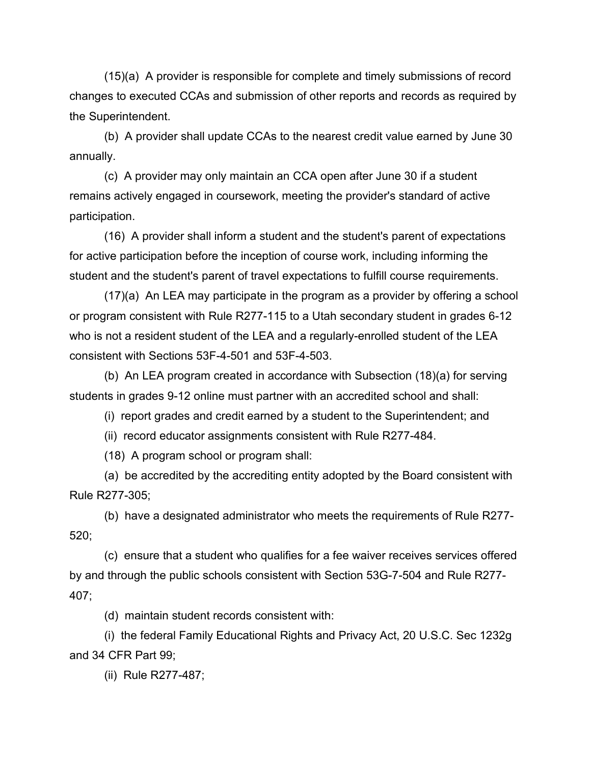(15)(a) A provider is responsible for complete and timely submissions of record changes to executed CCAs and submission of other reports and records as required by the Superintendent.

(b) A provider shall update CCAs to the nearest credit value earned by June 30 annually.

(c) A provider may only maintain an CCA open after June 30 if a student remains actively engaged in coursework, meeting the provider's standard of active participation.

(16) A provider shall inform a student and the student's parent of expectations for active participation before the inception of course work, including informing the student and the student's parent of travel expectations to fulfill course requirements.

(17)(a) An LEA may participate in the program as a provider by offering a school or program consistent with Rule R277-115 to a Utah secondary student in grades 6-12 who is not a resident student of the LEA and a regularly-enrolled student of the LEA consistent with Sections 53F-4-501 and 53F-4-503.

(b) An LEA program created in accordance with Subsection (18)(a) for serving students in grades 9-12 online must partner with an accredited school and shall:

(i) report grades and credit earned by a student to the Superintendent; and

(ii) record educator assignments consistent with Rule R277-484.

(18) A program school or program shall:

(a) be accredited by the accrediting entity adopted by the Board consistent with Rule R277-305;

(b) have a designated administrator who meets the requirements of Rule R277- 520;

(c) ensure that a student who qualifies for a fee waiver receives services offered by and through the public schools consistent with Section 53G-7-504 and Rule R277- 407;

(d) maintain student records consistent with:

(i) the federal Family Educational Rights and Privacy Act, 20 U.S.C. Sec 1232g and 34 CFR Part 99;

(ii) Rule R277-487;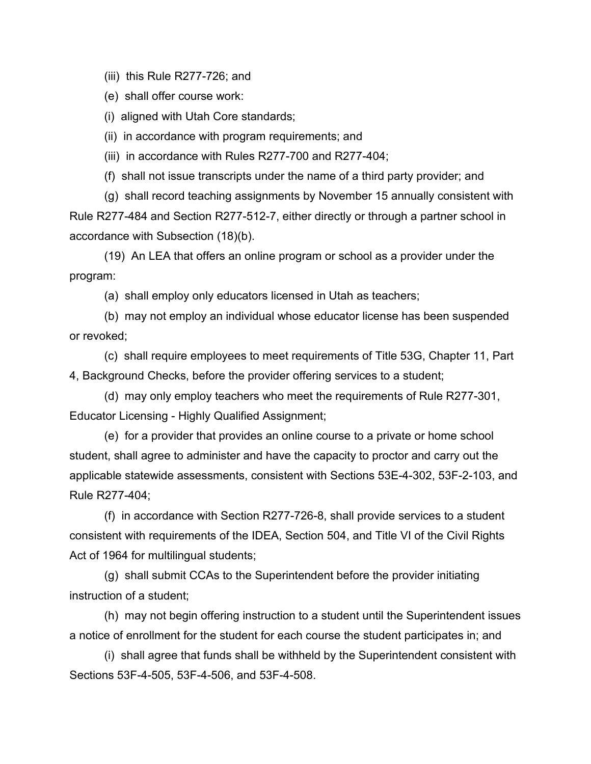(iii) this Rule R277-726; and

(e) shall offer course work:

(i) aligned with Utah Core standards;

(ii) in accordance with program requirements; and

(iii) in accordance with Rules R277-700 and R277-404;

(f) shall not issue transcripts under the name of a third party provider; and

(g) shall record teaching assignments by November 15 annually consistent with Rule R277-484 and Section R277-512-7, either directly or through a partner school in accordance with Subsection (18)(b).

(19) An LEA that offers an online program or school as a provider under the program:

(a) shall employ only educators licensed in Utah as teachers;

(b) may not employ an individual whose educator license has been suspended or revoked;

(c) shall require employees to meet requirements of Title 53G, Chapter 11, Part 4, Background Checks, before the provider offering services to a student;

(d) may only employ teachers who meet the requirements of Rule R277-301, Educator Licensing - Highly Qualified Assignment;

(e) for a provider that provides an online course to a private or home school student, shall agree to administer and have the capacity to proctor and carry out the applicable statewide assessments, consistent with Sections 53E-4-302, 53F-2-103, and Rule R277-404;

(f) in accordance with Section R277-726-8, shall provide services to a student consistent with requirements of the IDEA, Section 504, and Title VI of the Civil Rights Act of 1964 for multilingual students;

(g) shall submit CCAs to the Superintendent before the provider initiating instruction of a student;

(h) may not begin offering instruction to a student until the Superintendent issues a notice of enrollment for the student for each course the student participates in; and

(i) shall agree that funds shall be withheld by the Superintendent consistent with Sections 53F-4-505, 53F-4-506, and 53F-4-508.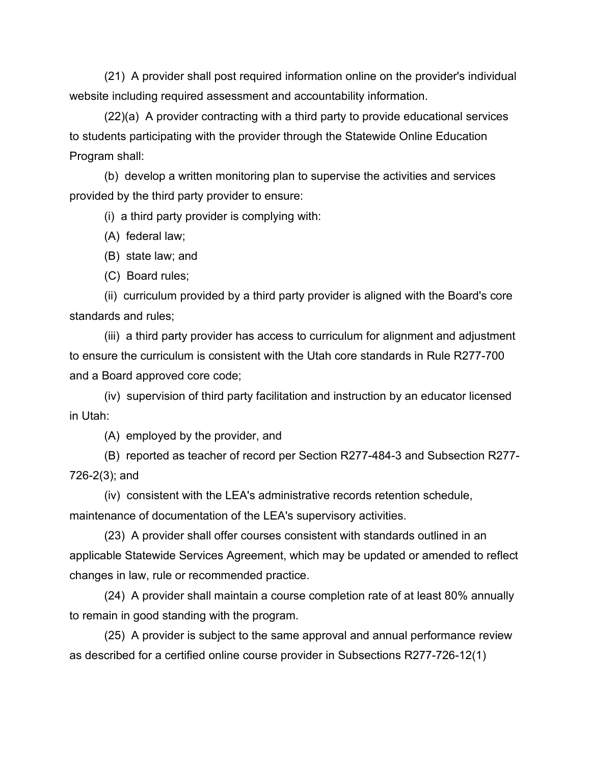(21) A provider shall post required information online on the provider's individual website including required assessment and accountability information.

(22)(a) A provider contracting with a third party to provide educational services to students participating with the provider through the Statewide Online Education Program shall:

(b) develop a written monitoring plan to supervise the activities and services provided by the third party provider to ensure:

(i) a third party provider is complying with:

(A) federal law;

(B) state law; and

(C) Board rules;

(ii) curriculum provided by a third party provider is aligned with the Board's core standards and rules;

(iii) a third party provider has access to curriculum for alignment and adjustment to ensure the curriculum is consistent with the Utah core standards in Rule R277-700 and a Board approved core code;

(iv) supervision of third party facilitation and instruction by an educator licensed in Utah:

(A) employed by the provider, and

(B) reported as teacher of record per Section R277-484-3 and Subsection R277- 726-2(3); and

(iv) consistent with the LEA's administrative records retention schedule, maintenance of documentation of the LEA's supervisory activities.

(23) A provider shall offer courses consistent with standards outlined in an applicable Statewide Services Agreement, which may be updated or amended to reflect changes in law, rule or recommended practice.

(24) A provider shall maintain a course completion rate of at least 80% annually to remain in good standing with the program.

(25) A provider is subject to the same approval and annual performance review as described for a certified online course provider in Subsections R277-726-12(1)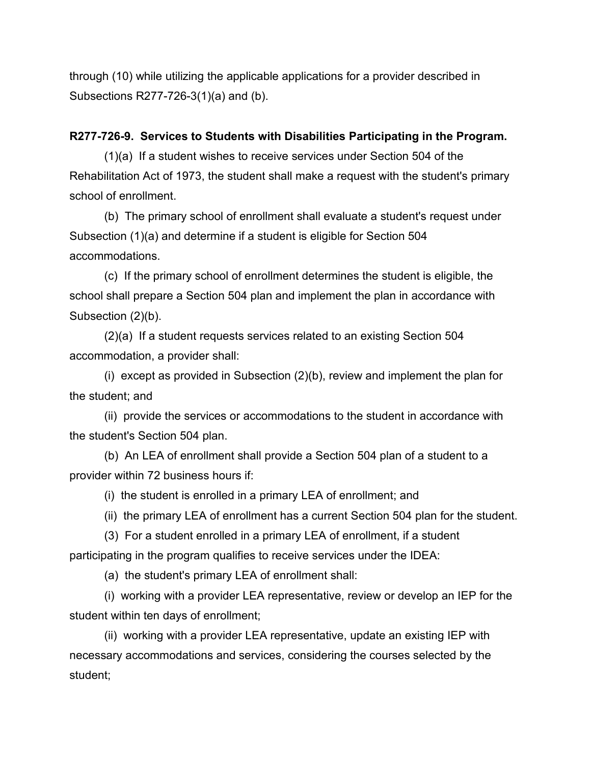through (10) while utilizing the applicable applications for a provider described in Subsections R277-726-3(1)(a) and (b).

## **R277-726-9. Services to Students with Disabilities Participating in the Program.**

(1)(a) If a student wishes to receive services under Section 504 of the Rehabilitation Act of 1973, the student shall make a request with the student's primary school of enrollment.

(b) The primary school of enrollment shall evaluate a student's request under Subsection (1)(a) and determine if a student is eligible for Section 504 accommodations.

(c) If the primary school of enrollment determines the student is eligible, the school shall prepare a Section 504 plan and implement the plan in accordance with Subsection (2)(b).

(2)(a) If a student requests services related to an existing Section 504 accommodation, a provider shall:

(i) except as provided in Subsection (2)(b), review and implement the plan for the student; and

(ii) provide the services or accommodations to the student in accordance with the student's Section 504 plan.

(b) An LEA of enrollment shall provide a Section 504 plan of a student to a provider within 72 business hours if:

(i) the student is enrolled in a primary LEA of enrollment; and

(ii) the primary LEA of enrollment has a current Section 504 plan for the student.

(3) For a student enrolled in a primary LEA of enrollment, if a student participating in the program qualifies to receive services under the IDEA:

(a) the student's primary LEA of enrollment shall:

(i) working with a provider LEA representative, review or develop an IEP for the student within ten days of enrollment;

(ii) working with a provider LEA representative, update an existing IEP with necessary accommodations and services, considering the courses selected by the student;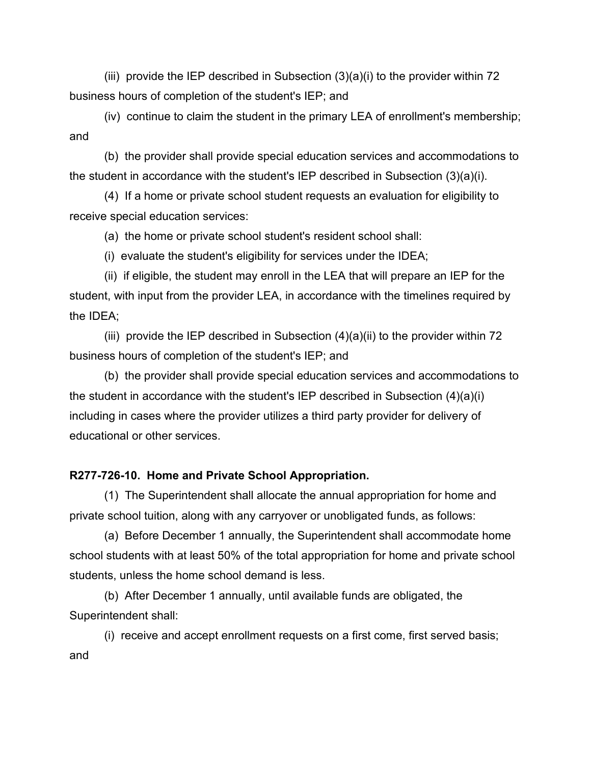(iii) provide the IEP described in Subsection  $(3)(a)(i)$  to the provider within 72 business hours of completion of the student's IEP; and

(iv) continue to claim the student in the primary LEA of enrollment's membership; and

(b) the provider shall provide special education services and accommodations to the student in accordance with the student's IEP described in Subsection (3)(a)(i).

(4) If a home or private school student requests an evaluation for eligibility to receive special education services:

(a) the home or private school student's resident school shall:

(i) evaluate the student's eligibility for services under the IDEA;

(ii) if eligible, the student may enroll in the LEA that will prepare an IEP for the student, with input from the provider LEA, in accordance with the timelines required by the IDEA;

(iii) provide the IEP described in Subsection  $(4)(a)(ii)$  to the provider within 72 business hours of completion of the student's IEP; and

(b) the provider shall provide special education services and accommodations to the student in accordance with the student's IEP described in Subsection (4)(a)(i) including in cases where the provider utilizes a third party provider for delivery of educational or other services.

#### **R277-726-10. Home and Private School Appropriation.**

(1) The Superintendent shall allocate the annual appropriation for home and private school tuition, along with any carryover or unobligated funds, as follows:

(a) Before December 1 annually, the Superintendent shall accommodate home school students with at least 50% of the total appropriation for home and private school students, unless the home school demand is less.

(b) After December 1 annually, until available funds are obligated, the Superintendent shall:

(i) receive and accept enrollment requests on a first come, first served basis; and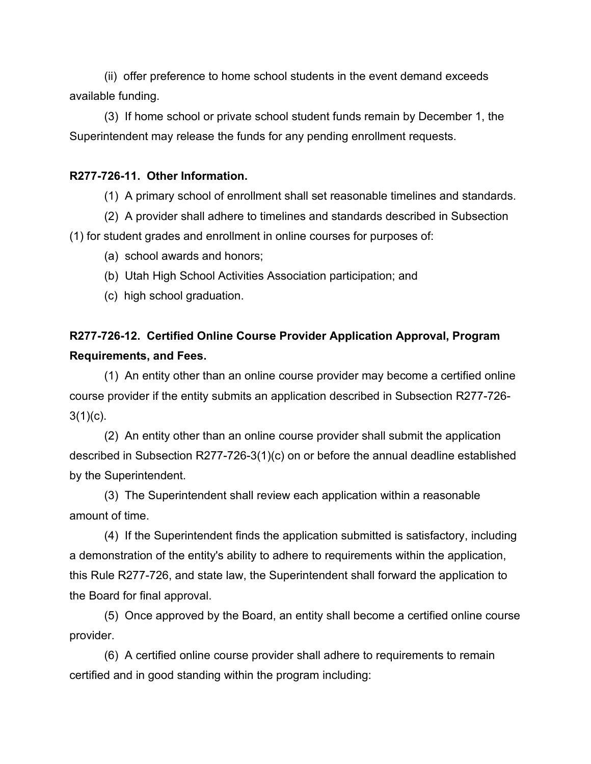(ii) offer preference to home school students in the event demand exceeds available funding.

(3) If home school or private school student funds remain by December 1, the Superintendent may release the funds for any pending enrollment requests.

# **R277-726-11. Other Information.**

(1) A primary school of enrollment shall set reasonable timelines and standards.

(2) A provider shall adhere to timelines and standards described in Subsection

(1) for student grades and enrollment in online courses for purposes of:

(a) school awards and honors;

- (b) Utah High School Activities Association participation; and
- (c) high school graduation.

# **R277-726-12. Certified Online Course Provider Application Approval, Program Requirements, and Fees.**

(1) An entity other than an online course provider may become a certified online course provider if the entity submits an application described in Subsection R277-726-  $3(1)(c)$ .

(2) An entity other than an online course provider shall submit the application described in Subsection R277-726-3(1)(c) on or before the annual deadline established by the Superintendent.

(3) The Superintendent shall review each application within a reasonable amount of time.

(4) If the Superintendent finds the application submitted is satisfactory, including a demonstration of the entity's ability to adhere to requirements within the application, this Rule R277-726, and state law, the Superintendent shall forward the application to the Board for final approval.

(5) Once approved by the Board, an entity shall become a certified online course provider.

(6) A certified online course provider shall adhere to requirements to remain certified and in good standing within the program including: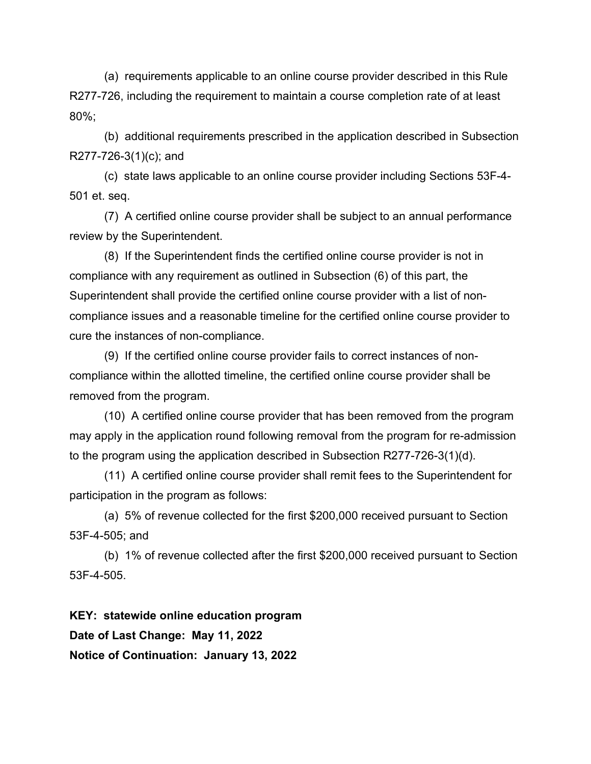(a) requirements applicable to an online course provider described in this Rule R277-726, including the requirement to maintain a course completion rate of at least 80%;

(b) additional requirements prescribed in the application described in Subsection R277-726-3(1)(c); and

(c) state laws applicable to an online course provider including Sections 53F-4- 501 et. seq.

(7) A certified online course provider shall be subject to an annual performance review by the Superintendent.

(8) If the Superintendent finds the certified online course provider is not in compliance with any requirement as outlined in Subsection (6) of this part, the Superintendent shall provide the certified online course provider with a list of noncompliance issues and a reasonable timeline for the certified online course provider to cure the instances of non-compliance.

(9) If the certified online course provider fails to correct instances of noncompliance within the allotted timeline, the certified online course provider shall be removed from the program.

(10) A certified online course provider that has been removed from the program may apply in the application round following removal from the program for re-admission to the program using the application described in Subsection R277-726-3(1)(d).

(11) A certified online course provider shall remit fees to the Superintendent for participation in the program as follows:

(a) 5% of revenue collected for the first \$200,000 received pursuant to Section 53F-4-505; and

(b) 1% of revenue collected after the first \$200,000 received pursuant to Section 53F-4-505.

**KEY: statewide online education program Date of Last Change: May 11, 2022 Notice of Continuation: January 13, 2022**